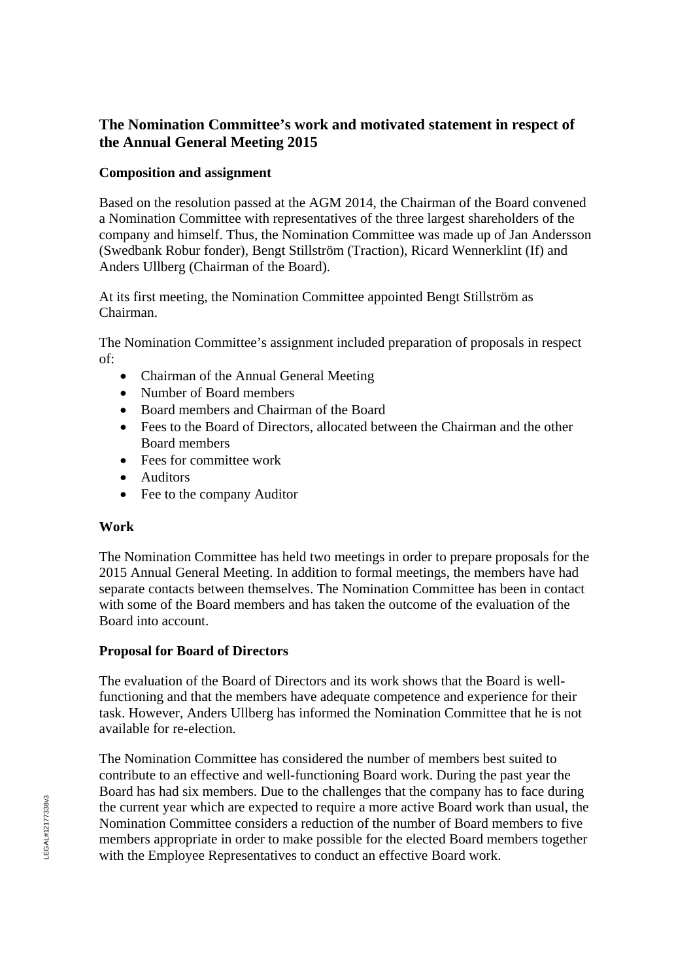# **The Nomination Committee's work and motivated statement in respect of the Annual General Meeting 2015**

### **Composition and assignment**

Based on the resolution passed at the AGM 2014, the Chairman of the Board convened a Nomination Committee with representatives of the three largest shareholders of the company and himself. Thus, the Nomination Committee was made up of Jan Andersson (Swedbank Robur fonder), Bengt Stillström (Traction), Ricard Wennerklint (If) and Anders Ullberg (Chairman of the Board).

At its first meeting, the Nomination Committee appointed Bengt Stillström as Chairman.

The Nomination Committee's assignment included preparation of proposals in respect of:

- Chairman of the Annual General Meeting
- Number of Board members
- Board members and Chairman of the Board
- Fees to the Board of Directors, allocated between the Chairman and the other Board members
- Fees for committee work
- Auditors
- Fee to the company Auditor

## **Work**

The Nomination Committee has held two meetings in order to prepare proposals for the 2015 Annual General Meeting. In addition to formal meetings, the members have had separate contacts between themselves. The Nomination Committee has been in contact with some of the Board members and has taken the outcome of the evaluation of the Board into account.

## **Proposal for Board of Directors**

The evaluation of the Board of Directors and its work shows that the Board is wellfunctioning and that the members have adequate competence and experience for their task. However, Anders Ullberg has informed the Nomination Committee that he is not available for re-election.

The Nomination Committee has considered the number of members best suited to contribute to an effective and well-functioning Board work. During the past year the Board has had six members. Due to the challenges that the company has to face during the current year which are expected to require a more active Board work than usual, the Nomination Committee considers a reduction of the number of Board members to five members appropriate in order to make possible for the elected Board members together with the Employee Representatives to conduct an effective Board work.